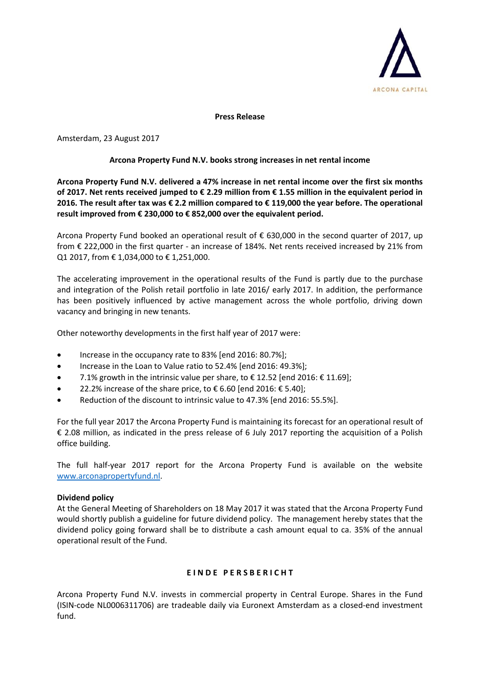

**Press Release**

Amsterdam, 23 August 2017

## **Arcona Property Fund N.V. books strong increases in net rental income**

**Arcona Property Fund N.V. delivered a 47% increase in net rental income over the first six months of 2017. Net rents received jumped to € 2.29 million from € 1.55 million in the equivalent period in 2016. The result after tax was € 2.2 million compared to € 119,000 the year before. The operational result improved from € 230,000 to € 852,000 over the equivalent period.**

Arcona Property Fund booked an operational result of € 630,000 in the second quarter of 2017, up from € 222,000 in the first quarter - an increase of 184%. Net rents received increased by 21% from Q1 2017, from € 1,034,000 to € 1,251,000.

The accelerating improvement in the operational results of the Fund is partly due to the purchase and integration of the Polish retail portfolio in late 2016/ early 2017. In addition, the performance has been positively influenced by active management across the whole portfolio, driving down vacancy and bringing in new tenants.

Other noteworthy developments in the first half year of 2017 were:

- Increase in the occupancy rate to 83% [end 2016: 80.7%];
- Increase in the Loan to Value ratio to 52.4% [end 2016: 49.3%];
- 7.1% growth in the intrinsic value per share, to  $\epsilon$  12.52 [end 2016:  $\epsilon$  11.69];
- 22.2% increase of the share price, to  $\epsilon$  6.60 [end 2016:  $\epsilon$  5.40];
- Reduction of the discount to intrinsic value to 47.3% [end 2016: 55.5%].

For the full year 2017 the Arcona Property Fund is maintaining its forecast for an operational result of € 2.08 million, as indicated in the press release of 6 July 2017 reporting the acquisition of a Polish office building.

The full half-year 2017 report for the Arcona Property Fund is available on the website [www.arconapropertyfund.nl.](http://www.arconapropertyfund.nl/)

## **Dividend policy**

At the General Meeting of Shareholders on 18 May 2017 it was stated that the Arcona Property Fund would shortly publish a guideline for future dividend policy. The management hereby states that the dividend policy going forward shall be to distribute a cash amount equal to ca. 35% of the annual operational result of the Fund.

## $E$  **INDE PERSBERICHT**

Arcona Property Fund N.V. invests in commercial property in Central Europe. Shares in the Fund (ISIN-code NL0006311706) are tradeable daily via Euronext Amsterdam as a closed-end investment fund.